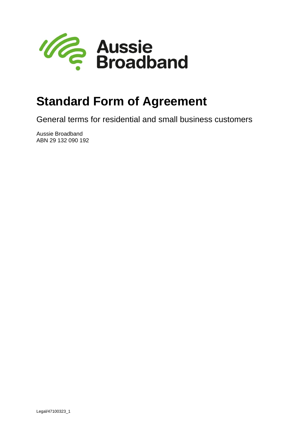

# **Standard Form of Agreement**

General terms for residential and small business customers

Aussie Broadband ABN 29 132 090 192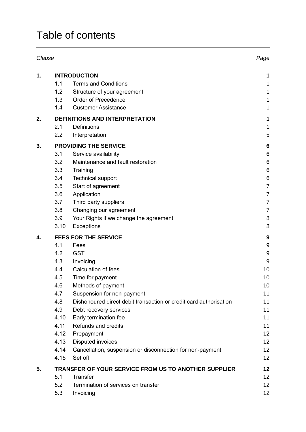## Table of contents

| Clause |                                                      |                                                                   | Page             |
|--------|------------------------------------------------------|-------------------------------------------------------------------|------------------|
| 1.     | <b>INTRODUCTION</b>                                  |                                                                   |                  |
|        | 1.1                                                  | <b>Terms and Conditions</b>                                       | 1                |
|        | 1.2                                                  | Structure of your agreement                                       | 1                |
|        | 1.3                                                  | Order of Precedence                                               | 1                |
|        | 1.4                                                  | <b>Customer Assistance</b>                                        | 1                |
| 2.     | DEFINITIONS AND INTERPRETATION                       |                                                                   |                  |
|        | 2.1                                                  | <b>Definitions</b>                                                | 1                |
|        | 2.2                                                  | Interpretation                                                    | 5                |
| 3.     | <b>PROVIDING THE SERVICE</b>                         |                                                                   |                  |
|        | 3.1                                                  | Service availability                                              | 6                |
|        | 3.2                                                  | Maintenance and fault restoration                                 | 6                |
|        | 3.3                                                  | Training                                                          | $\,6$            |
|        | 3.4                                                  | <b>Technical support</b>                                          | 6                |
|        | 3.5                                                  | Start of agreement                                                | $\overline{7}$   |
|        | 3.6                                                  | Application                                                       | $\overline{7}$   |
|        | 3.7                                                  | Third party suppliers                                             | $\overline{7}$   |
|        | 3.8                                                  | Changing our agreement                                            | $\overline{7}$   |
|        | 3.9                                                  | Your Rights if we change the agreement                            | 8                |
|        | 3.10                                                 | <b>Exceptions</b>                                                 | 8                |
| 4.     | <b>FEES FOR THE SERVICE</b>                          |                                                                   |                  |
|        | 4.1                                                  | Fees                                                              | $\boldsymbol{9}$ |
|        | 4.2                                                  | <b>GST</b>                                                        | $9\,$            |
|        | 4.3                                                  | Invoicing                                                         | 9                |
|        | 4.4                                                  | Calculation of fees                                               | 10               |
|        | 4.5                                                  | Time for payment                                                  | 10               |
|        | 4.6                                                  | Methods of payment                                                | 10               |
|        | 4.7                                                  | Suspension for non-payment                                        | 11               |
|        | 4.8                                                  | Dishonoured direct debit transaction or credit card authorisation | 11               |
|        | 4.9                                                  | Debt recovery services                                            | 11               |
|        | 4.10                                                 | Early termination fee                                             | 11               |
|        | 4.11                                                 | Refunds and credits                                               | 11               |
|        | 4.12                                                 | Prepayment                                                        | 12               |
|        | 4.13                                                 | <b>Disputed invoices</b>                                          | 12               |
|        | 4.14                                                 | Cancellation, suspension or disconnection for non-payment         | 12               |
|        | 4.15                                                 | Set off                                                           | 12               |
| 5.     | TRANSFER OF YOUR SERVICE FROM US TO ANOTHER SUPPLIER |                                                                   |                  |
|        | 5.1                                                  | <b>Transfer</b>                                                   | 12               |
|        | 5.2                                                  | Termination of services on transfer                               | 12               |
|        | 5.3                                                  | Invoicing                                                         | 12               |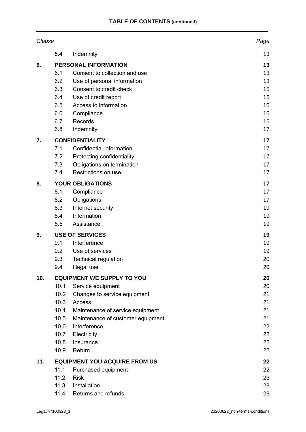| Clause |                                      |                                   | Page |
|--------|--------------------------------------|-----------------------------------|------|
|        | 5.4                                  | Indemnity                         | 13   |
| 6.     | PERSONAL INFORMATION                 | 13                                |      |
|        | 6.1                                  | Consent to collection and use     | 13   |
|        | 6.2                                  | Use of personal information       | 13   |
|        | 6.3                                  | Consent to credit check           | 15   |
|        | 6.4                                  | Use of credit report              | 15   |
|        | 6.5                                  | Access to information             | 16   |
|        | 6.6                                  | Compliance                        | 16   |
|        | 6.7                                  | Records                           | 16   |
|        | 6.8                                  | Indemnity                         | 17   |
| 7.     |                                      | <b>CONFIDENTIALITY</b>            | 17   |
|        | 7.1                                  | Confidential information          | 17   |
|        | 7.2                                  | Protecting confidentiality        | 17   |
|        | 7.3                                  | Obligations on termination        | 17   |
|        | 7.4                                  | Restrictions on use               | 17   |
| 8.     |                                      | <b>YOUR OBLIGATIONS</b>           | 17   |
|        | 8.1                                  | Compliance                        | 17   |
|        | 8.2                                  | Obligations                       | 17   |
|        | 8.3                                  | Internet security                 | 19   |
|        | 8.4                                  | Information                       | 19   |
|        | 8.5                                  | Assistance                        | 19   |
| 9.     | <b>USE OF SERVICES</b>               | 19                                |      |
|        | 9.1                                  | Interference                      | 19   |
|        | 9.2                                  | Use of services                   | 19   |
|        | 9.3                                  | <b>Technical regulation</b>       | 20   |
|        | 9.4                                  | Illegal use                       | 20   |
| 10.    |                                      | <b>EQUIPMENT WE SUPPLY TO YOU</b> | 20   |
|        | 10.1                                 | Service equipment                 | 20   |
|        | 10.2                                 | Changes to service equipment      | 21   |
|        | 10.3                                 | Access                            | 21   |
|        | 10.4                                 | Maintenance of service equipment  | 21   |
|        | 10.5                                 | Maintenance of customer equipment | 21   |
|        | 10.6                                 | Interference                      | 22   |
|        | 10.7                                 | Electricity                       | 22   |
|        | 10.8                                 | Insurance                         | 22   |
|        | 10.9                                 | Return                            | 22   |
| 11.    | <b>EQUIPMENT YOU ACQUIRE FROM US</b> | 22                                |      |
|        | 11.1                                 | Purchased equipment               | 22   |
|        | 11.2                                 | <b>Risk</b>                       | 23   |
|        | 11.3                                 | Installation                      | 23   |
|        | 11.4                                 | Returns and refunds               | 23   |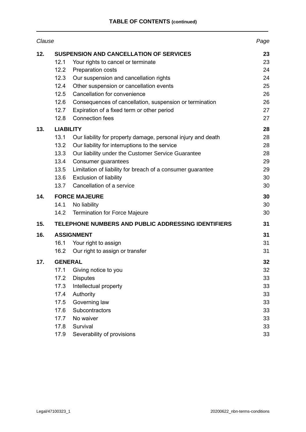| Clause |                                                |                                                              | Page |
|--------|------------------------------------------------|--------------------------------------------------------------|------|
| 12.    | <b>SUSPENSION AND CANCELLATION OF SERVICES</b> |                                                              |      |
|        | 12.1                                           | Your rights to cancel or terminate                           | 23   |
|        | 12.2                                           | Preparation costs                                            | 24   |
|        | 12.3                                           | Our suspension and cancellation rights                       | 24   |
|        | 12.4                                           | Other suspension or cancellation events                      | 25   |
|        | 12.5                                           | Cancellation for convenience                                 | 26   |
|        | 12.6                                           | Consequences of cancellation, suspension or termination      | 26   |
|        | 12.7                                           | Expiration of a fixed term or other period                   | 27   |
|        | 12.8                                           | <b>Connection fees</b>                                       | 27   |
| 13.    | <b>LIABILITY</b>                               |                                                              |      |
|        | 13.1                                           | Our liability for property damage, personal injury and death | 28   |
|        | 13.2                                           | Our liability for interruptions to the service               | 28   |
|        | 13.3                                           | Our liability under the Customer Service Guarantee           | 28   |
|        | 13.4                                           | Consumer guarantees                                          | 29   |
|        | 13.5                                           | Limitation of liability for breach of a consumer guarantee   | 29   |
|        | 13.6                                           | <b>Exclusion of liability</b>                                | 30   |
|        | 13.7                                           | Cancellation of a service                                    | 30   |
| 14.    | <b>FORCE MAJEURE</b>                           |                                                              | 30   |
|        | 14.1                                           | No liability                                                 | 30   |
|        | 14.2                                           | <b>Termination for Force Majeure</b>                         | 30   |
| 15.    |                                                | TELEPHONE NUMBERS AND PUBLIC ADDRESSING IDENTIFIERS          | 31   |
| 16.    | <b>ASSIGNMENT</b>                              |                                                              |      |
|        | 16.1                                           | Your right to assign                                         | 31   |
|        | 16.2                                           | Our right to assign or transfer                              | 31   |
| 17.    | <b>GENERAL</b>                                 |                                                              |      |
|        | 17.1                                           | Giving notice to you                                         | 32   |
|        | 17.2                                           | <b>Disputes</b>                                              | 33   |
|        | 17.3                                           | Intellectual property                                        | 33   |
|        | 17.4                                           | Authority                                                    | 33   |
|        | 17.5                                           | Governing law                                                | 33   |
|        | 17.6                                           | Subcontractors                                               | 33   |
|        | 17.7                                           | No waiver                                                    | 33   |
|        | 17.8                                           | Survival                                                     | 33   |
|        | 17.9                                           | Severability of provisions                                   | 33   |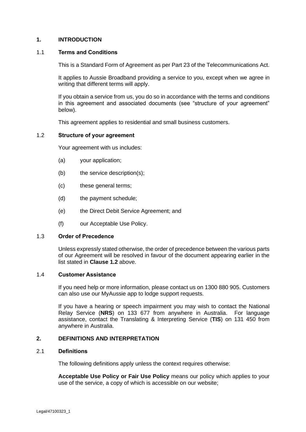## **1. INTRODUCTION**

#### 1.1 **Terms and Conditions**

This is a Standard Form of Agreement as per Part 23 of the Telecommunications Act.

It applies to Aussie Broadband providing a service to you, except when we agree in writing that different terms will apply.

If you obtain a service from us, you do so in accordance with the terms and conditions in this agreement and associated documents (see "structure of your agreement" below).

This agreement applies to residential and small business customers.

## <span id="page-4-0"></span>1.2 **Structure of your agreement**

Your agreement with us includes:

- (a) your application;
- (b) the service description(s);
- (c) these general terms;
- (d) the payment schedule;
- (e) the Direct Debit Service Agreement; and
- (f) our Acceptable Use Policy.

#### 1.3 **Order of Precedence**

Unless expressly stated otherwise, the order of precedence between the various parts of our Agreement will be resolved in favour of the document appearing earlier in the list stated in **Clause [1.2](#page-4-0)** above.

#### 1.4 **Customer Assistance**

If you need help or more information, please contact us on 1300 880 905. Customers can also use our MyAussie app to lodge support requests.

If you have a hearing or speech impairment you may wish to contact the National Relay Service (**NRS**) on 133 677 from anywhere in Australia. For language assistance, contact the Translating & Interpreting Service (**TIS**) on 131 450 from anywhere in Australia.

#### **2. DEFINITIONS AND INTERPRETATION**

### 2.1 **Definitions**

The following definitions apply unless the context requires otherwise:

**Acceptable Use Policy or Fair Use Policy** means our policy which applies to your use of the service, a copy of which is accessible on our website;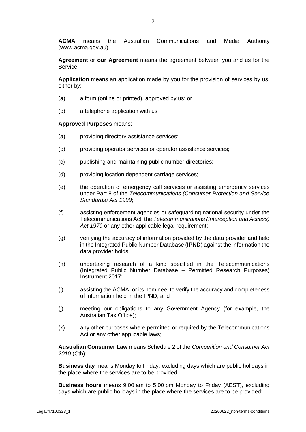**ACMA** means the Australian Communications and Media Authority (www.acma.gov.au);

**Agreement** or **our Agreement** means the agreement between you and us for the Service;

**Application** means an application made by you for the provision of services by us, either by:

- (a) a form (online or printed), approved by us; or
- (b) a telephone application with us

#### **Approved Purposes** means:

- (a) providing directory assistance services;
- (b) providing operator services or operator assistance services;
- (c) publishing and maintaining public number directories;
- (d) providing location dependent carriage services;
- (e) the operation of emergency call services or assisting emergency services under Part 8 of the *Telecommunications (Consumer Protection and Service Standards) Act 1999*;
- (f) assisting enforcement agencies or safeguarding national security under the Telecommunications Act, the *Telecommunications (Interception and Access) Act 1979* or any other applicable legal requirement;
- (g) verifying the accuracy of information provided by the data provider and held in the Integrated Public Number Database (**IPND**) against the information the data provider holds;
- (h) undertaking research of a kind specified in the Telecommunications (Integrated Public Number Database – Permitted Research Purposes) Instrument 2017;
- (i) assisting the ACMA, or its nominee, to verify the accuracy and completeness of information held in the IPND; and
- (j) meeting our obligations to any Government Agency (for example, the Australian Tax Office);
- (k) any other purposes where permitted or required by the Telecommunications Act or any other applicable laws;

**Australian Consumer Law** means Schedule 2 of the *Competition and Consumer Act 2010* (Cth);

**Business day** means Monday to Friday, excluding days which are public holidays in the place where the services are to be provided;

**Business hours** means 9.00 am to 5.00 pm Monday to Friday (AEST), excluding days which are public holidays in the place where the services are to be provided;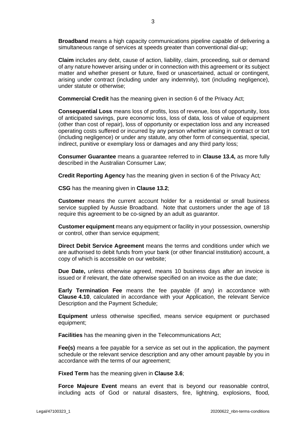**Broadband** means a high capacity communications pipeline capable of delivering a simultaneous range of services at speeds greater than conventional dial-up;

**Claim** includes any debt, cause of action, liability, claim, proceeding, suit or demand of any nature however arising under or in connection with this agreement or its subject matter and whether present or future, fixed or unascertained, actual or contingent, arising under contract (including under any indemnity), tort (including negligence), under statute or otherwise;

**Commercial Credit** has the meaning given in section 6 of the Privacy Act;

**Consequential Loss** means loss of profits, loss of revenue, loss of opportunity, loss of anticipated savings, pure economic loss, loss of data, loss of value of equipment (other than cost of repair), loss of opportunity or expectation loss and any increased operating costs suffered or incurred by any person whether arising in contract or tort (including negligence) or under any statute, any other form of consequential, special, indirect, punitive or exemplary loss or damages and any third party loss;

**Consumer Guarantee** means a guarantee referred to in **Clause [13.4,](#page-32-0)** as more fully described in the Australian Consumer Law;

**Credit Reporting Agency** has the meaning given in section 6 of the Privacy Act*;*

**CSG** has the meaning given in **Clause [13.2](#page-31-0)**;

**Customer** means the current account holder for a residential or small business service supplied by Aussie Broadband. Note that customers under the age of 18 require this agreement to be co-signed by an adult as guarantor.

**Customer equipment** means any equipment or facility in your possession, ownership or control, other than service equipment;

**Direct Debit Service Agreement** means the terms and conditions under which we are authorised to debit funds from your bank (or other financial institution) account, a copy of which is accessible on our website;

**Due Date,** unless otherwise agreed, means 10 business days after an invoice is issued or if relevant, the date otherwise specified on an invoice as the due date;

**Early Termination Fee** means the fee payable (if any) in accordance with **Clause [4.10](#page-14-0)**, calculated in accordance with your Application, the relevant Service Description and the Payment Schedule;

**Equipment** unless otherwise specified, means service equipment or purchased equipment;

**Facilities** has the meaning given in the Telecommunications Act;

**Fee(s)** means a fee payable for a service as set out in the application, the payment schedule or the relevant service description and any other amount payable by you in accordance with the terms of our agreement;

**Fixed Term** has the meaning given in **Clause [3.6](#page-10-0)**;

**Force Majeure Event** means an event that is beyond our reasonable control, including acts of God or natural disasters, fire, lightning, explosions, flood,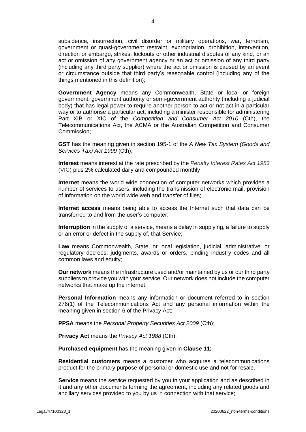subsidence, insurrection, civil disorder or military operations, war, terrorism, government or quasi-government restraint, expropriation, prohibition, intervention, direction or embargo, strikes, lockouts or other industrial disputes of any kind, or an act or omission of any government agency or an act or omission of any third party (including any third party supplier) where the act or omission is caused by an event or circumstance outside that third party's reasonable control (including any of the things mentioned in this definition);

**Government Agency** means any Commonwealth, State or local or foreign government, government authority or semi-government authority (including a judicial body) that has legal power to require another person to act or not act in a particular way or to authorise a particular act, including a minister responsible for administering Part XIB or XIC of the *Competition and Consumer Act 2010* (Cth), the Telecommunications Act, the ACMA or the Australian Competition and Consumer Commission;

**GST** has the meaning given in section 195-1 of the *A New Tax System (Goods and Services Tax) Act 1999* (Cth);

**Interest** means interest at the rate prescribed by the *Penalty Interest Rates Act 1983* (VIC) plus 2% calculated daily and compounded monthly

**Internet** means the world wide connection of computer networks which provides a number of services to users, including the transmission of electronic mail, provision of information on the world wide web and transfer of files;

**Internet access** means being able to access the Internet such that data can be transferred to and from the user's computer;

**Interruption** in the supply of a service, means a delay in supplying, a failure to supply or an error or defect in the supply of, that Service;

**Law** means Commonwealth, State, or local legislation, judicial, administrative, or regulatory decrees, judgments, awards or orders, binding industry codes and all common laws and equity;

**Our network** means the infrastructure used and/or maintained by us or our third party suppliers to provide you with your service. Our network does not include the computer networks that make up the internet;

**Personal Information** means any information or document referred to in section 276(1) of the Telecommunications Act and any personal information within the meaning given in section 6 of the Privacy Act;

**PPSA** means the *Personal Property Securities Act 2009* (Cth);

**Privacy Act** means the *Privacy Act 1988* (Cth);

**Purchased equipment** has the meaning given in **Clause [11](#page-25-0)**;

**Residential customers** means a customer who acquires a telecommunications product for the primary purpose of personal or domestic use and not for resale.

**Service** means the service requested by you in your application and as described in it and any other documents forming the agreement, including any related goods and ancillary services provided to you by us in connection with that service;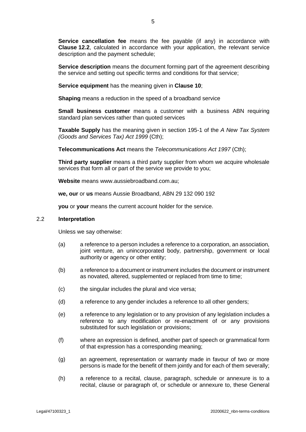**Service cancellation fee** means the fee payable (if any) in accordance with **Clause [12.2](#page-27-0)**, calculated in accordance with your application, the relevant service description and the payment schedule;

**Service description** means the document forming part of the agreement describing the service and setting out specific terms and conditions for that service;

**Service equipment** has the meaning given in **Clause [10](#page-23-0)**;

**Shaping** means a reduction in the speed of a broadband service

**Small business customer** means a customer with a business ABN requiring standard plan services rather than quoted services

**Taxable Supply** has the meaning given in section 195-1 of the *A New Tax System (Goods and Services Tax) Act 1999* (Cth);

**Telecommunications Act** means the *Telecommunications Act 1997* (Cth);

**Third party supplier** means a third party supplier from whom we acquire wholesale services that form all or part of the service we provide to you;

**Website** means www.aussiebroadband.com.au;

**we, our** or **us** means Aussie Broadband, ABN 29 132 090 192

**you** or **your** means the current account holder for the service.

#### 2.2 **Interpretation**

Unless we say otherwise:

- (a) a reference to a person includes a reference to a corporation, an association, joint venture, an unincorporated body, partnership, government or local authority or agency or other entity;
- (b) a reference to a document or instrument includes the document or instrument as novated, altered, supplemented or replaced from time to time;
- (c) the singular includes the plural and vice versa;
- (d) a reference to any gender includes a reference to all other genders;
- (e) a reference to any legislation or to any provision of any legislation includes a reference to any modification or re-enactment of or any provisions substituted for such legislation or provisions;
- (f) where an expression is defined, another part of speech or grammatical form of that expression has a corresponding meaning;
- (g) an agreement, representation or warranty made in favour of two or more persons is made for the benefit of them jointly and for each of them severally;
- (h) a reference to a recital, clause, paragraph, schedule or annexure is to a recital, clause or paragraph of, or schedule or annexure to, these General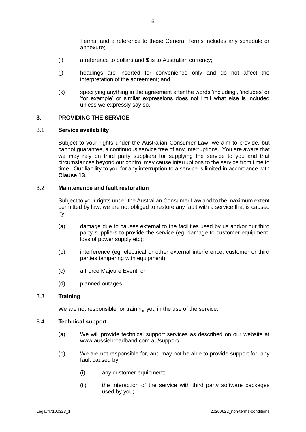Terms, and a reference to these General Terms includes any schedule or annexure;

- (i) a reference to dollars and \$ is to Australian currency;
- (j) headings are inserted for convenience only and do not affect the interpretation of the agreement; and
- (k) specifying anything in the agreement after the words 'including', 'includes' or 'for example' or similar expressions does not limit what else is included unless we expressly say so.

## **3. PROVIDING THE SERVICE**

#### 3.1 **Service availability**

Subject to your rights under the Australian Consumer Law, we aim to provide, but cannot guarantee, a continuous service free of any Interruptions. You are aware that we may rely on third party suppliers for supplying the service to you and that circumstances beyond our control may cause interruptions to the service from time to time. Our liability to you for any interruption to a service is limited in accordance with **Clause [13](#page-31-1)**.

## 3.2 **Maintenance and fault restoration**

Subject to your rights under the Australian Consumer Law and to the maximum extent permitted by law, we are not obliged to restore any fault with a service that is caused by:

- (a) damage due to causes external to the facilities used by us and/or our third party suppliers to provide the service (eg, damage to customer equipment, loss of power supply etc);
- (b) interference (eg, electrical or other external interference; customer or third parties tampering with equipment);
- (c) a Force Majeure Event; or
- (d) planned outages.

## 3.3 **Training**

We are not responsible for training you in the use of the service.

#### <span id="page-9-0"></span>3.4 **Technical support**

- (a) We will provide technical support services as described on our website at www.aussiebroadband.com.au/support/
- (b) We are not responsible for, and may not be able to provide support for, any fault caused by:
	- (i) any customer equipment;
	- (ii) the interaction of the service with third party software packages used by you;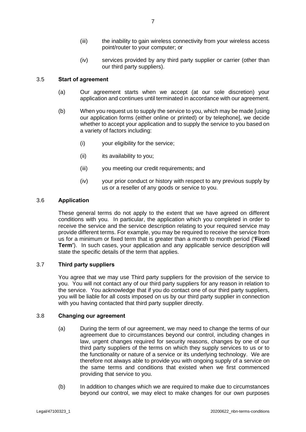- (iii) the inability to gain wireless connectivity from your wireless access point/router to your computer; or
- (iv) services provided by any third party supplier or carrier (other than our third party suppliers).

## 3.5 **Start of agreement**

- (a) Our agreement starts when we accept (at our sole discretion) your application and continues until terminated in accordance with our agreement.
- (b) When you request us to supply the service to you, which may be made [using our application forms (either online or printed) or by telephone], we decide whether to accept your application and to supply the service to you based on a variety of factors including:
	- (i) your eligibility for the service;
	- (ii) its availability to you;
	- (iii) you meeting our credit requirements; and
	- (iv) your prior conduct or history with respect to any previous supply by us or a reseller of any goods or service to you.

## <span id="page-10-0"></span>3.6 **Application**

These general terms do not apply to the extent that we have agreed on different conditions with you. In particular, the application which you completed in order to receive the service and the service description relating to your required service may provide different terms. For example, you may be required to receive the service from us for a minimum or fixed term that is greater than a month to month period (**'Fixed Term'**). In such cases, your application and any applicable service description will state the specific details of the term that applies.

## 3.7 **Third party suppliers**

You agree that we may use Third party suppliers for the provision of the service to you. You will not contact any of our third party suppliers for any reason in relation to the service. You acknowledge that if you do contact one of our third party suppliers, you will be liable for all costs imposed on us by our third party supplier in connection with you having contacted that third party supplier directly.

### <span id="page-10-3"></span><span id="page-10-2"></span>3.8 **Changing our agreement**

- (a) During the term of our agreement, we may need to change the terms of our agreement due to circumstances beyond our control, including changes in law, urgent changes required for security reasons, changes by one of our third party suppliers of the terms on which they supply services to us or to the functionality or nature of a service or its underlying technology. We are therefore not always able to provide you with ongoing supply of a service on the same terms and conditions that existed when we first commenced providing that service to you.
- <span id="page-10-1"></span>(b) In addition to changes which we are required to make due to circumstances beyond our control, we may elect to make changes for our own purposes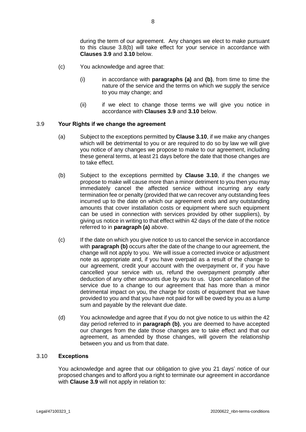during the term of our agreement. Any changes we elect to make pursuant to this clause 3.[8\(b\)](#page-10-1) will take effect for your service in accordance with **Clauses [3.9](#page-11-0)** and **[3.10](#page-11-1)** below.

- (c) You acknowledge and agree that:
	- (i) in accordance with **paragraphs [\(a\)](#page-10-2)** and **[\(b\)](#page-10-1)**, from time to time the nature of the service and the terms on which we supply the service to you may change; and
	- (ii) if we elect to change those terms we will give you notice in accordance with **Clauses [3.9](#page-11-0)** and **[3.10](#page-11-1)** below.

#### <span id="page-11-2"></span><span id="page-11-0"></span>3.9 **Your Rights if we change the agreement**

- (a) Subject to the exceptions permitted by **Clause [3.10](#page-11-1)**, if we make any changes which will be detrimental to you or are required to do so by law we will give you notice of any changes we propose to make to our agreement, including these general terms, at least 21 days before the date that those changes are to take effect.
- <span id="page-11-3"></span>(b) Subject to the exceptions permitted by **Clause [3.10](#page-11-1)**, if the changes we propose to make will cause more than a minor detriment to you then you may immediately cancel the affected service without incurring any early termination fee or penalty (provided that we can recover any outstanding fees incurred up to the date on which our agreement ends and any outstanding amounts that cover installation costs or equipment where such equipment can be used in connection with services provided by other suppliers), by giving us notice in writing to that effect within 42 days of the date of the notice referred to in **paragraph [\(a\)](#page-11-2)** above.
- (c) If the date on which you give notice to us to cancel the service in accordance with **paragrap[h \(b\)](#page-11-3)** occurs after the date of the change to our agreement, the change will not apply to you. We will issue a corrected invoice or adjustment note as appropriate and, if you have overpaid as a result of the change to our agreement, credit your account with the overpayment or, if you have cancelled your service with us, refund the overpayment promptly after deduction of any other amounts due by you to us. Upon cancellation of the service due to a change to our agreement that has more than a minor detrimental impact on you, the charge for costs of equipment that we have provided to you and that you have not paid for will be owed by you as a lump sum and payable by the relevant due date.
- (d) You acknowledge and agree that if you do not give notice to us within the 42 day period referred to in **paragraph [\(b\)](#page-11-3)**, you are deemed to have accepted our changes from the date those changes are to take effect and that our agreement, as amended by those changes, will govern the relationship between you and us from that date.

## <span id="page-11-1"></span>3.10 **Exceptions**

You acknowledge and agree that our obligation to give you 21 days' notice of our proposed changes and to afford you a right to terminate our agreement in accordance with **Clause [3.9](#page-11-0)** will not apply in relation to: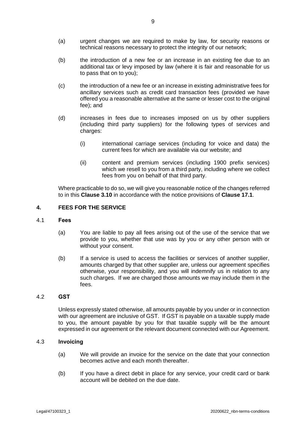- (a) urgent changes we are required to make by law, for security reasons or technical reasons necessary to protect the integrity of our network;
- (b) the introduction of a new fee or an increase in an existing fee due to an additional tax or levy imposed by law (where it is fair and reasonable for us to pass that on to you);
- (c) the introduction of a new fee or an increase in existing administrative fees for ancillary services such as credit card transaction fees (provided we have offered you a reasonable alternative at the same or lesser cost to the original fee); and
- (d) increases in fees due to increases imposed on us by other suppliers (including third party suppliers) for the following types of services and charges:
	- (i) international carriage services (including for voice and data) the current fees for which are available via our website; and
	- (ii) content and premium services (including 1900 prefix services) which we resell to you from a third party, including where we collect fees from you on behalf of that third party.

Where practicable to do so, we will give you reasonable notice of the changes referred to in this **Clause [3.10](#page-11-1)** in accordance with the notice provisions of **Clause [17.1](#page-35-0)**.

## **4. FEES FOR THE SERVICE**

#### 4.1 **Fees**

- (a) You are liable to pay all fees arising out of the use of the service that we provide to you, whether that use was by you or any other person with or without your consent.
- (b) If a service is used to access the facilities or services of another supplier, amounts charged by that other supplier are, unless our agreement specifies otherwise, your responsibility, and you will indemnify us in relation to any such charges. If we are charged those amounts we may include them in the fees.

## 4.2 **GST**

Unless expressly stated otherwise, all amounts payable by you under or in connection with our agreement are inclusive of GST. If GST is payable on a taxable supply made to you, the amount payable by you for that taxable supply will be the amount expressed in our agreement or the relevant document connected with our Agreement.

### 4.3 **Invoicing**

- (a) We will provide an invoice for the service on the date that your connection becomes active and each month thereafter.
- (b) If you have a direct debit in place for any service, your credit card or bank account will be debited on the due date.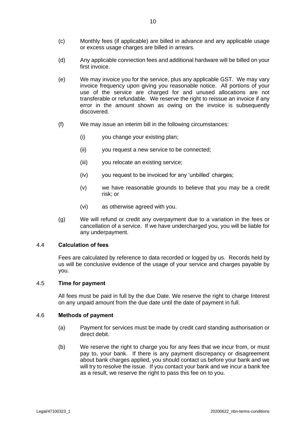- (c) Monthly fees (if applicable) are billed in advance and any applicable usage or excess usage charges are billed in arrears.
- (d) Any applicable connection fees and additional hardware will be billed on your first invoice.
- (e) We may invoice you for the service, plus any applicable GST. We may vary invoice frequency upon giving you reasonable notice. All portions of your use of the service are charged for and unused allocations are not transferable or refundable. We reserve the right to reissue an invoice if any error in the amount shown as owing on the invoice is subsequently discovered.
- (f) We may issue an interim bill in the following circumstances:
	- (i) you change your existing plan;
	- (ii) you request a new service to be connected;
	- (iii) you relocate an existing service;
	- (iv) you request to be invoiced for any 'unbilled' charges;
	- (v) we have reasonable grounds to believe that you may be a credit risk; or
	- (vi) as otherwise agreed with you.
- (g) We will refund or credit any overpayment due to a variation in the fees or cancellation of a service. If we have undercharged you, you will be liable for any underpayment.

#### 4.4 **Calculation of fees**

Fees are calculated by reference to data recorded or logged by us. Records held by us will be conclusive evidence of the usage of your service and charges payable by you.

#### 4.5 **Time for payment**

All fees must be paid in full by the due Date. We reserve the right to charge Interest on any unpaid amount from the due date until the date of payment in full.

#### 4.6 **Methods of payment**

- (a) Payment for services must be made by credit card standing authorisation or direct debit.
- (b) We reserve the right to charge you for any fees that we incur from, or must pay to, your bank. If there is any payment discrepancy or disagreement about bank charges applied, you should contact us before your bank and we will try to resolve the issue. If you contact your bank and we incur a bank fee as a result, we reserve the right to pass this fee on to you.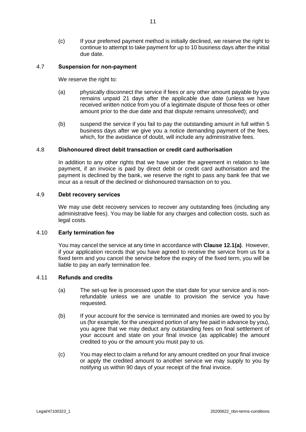(c) If your preferred payment method is initially declined, we reserve the right to continue to attempt to take payment for up to 10 business days after the initial due date.

## <span id="page-14-2"></span>4.7 **Suspension for non-payment**

We reserve the right to:

- (a) physically disconnect the service if fees or any other amount payable by you remains unpaid 21 days after the applicable due date (unless we have received written notice from you of a legitimate dispute of those fees or other amount prior to the due date and that dispute remains unresolved); and
- (b) suspend the service if you fail to pay the outstanding amount in full within 5 business days after we give you a notice demanding payment of the fees, which, for the avoidance of doubt, will include any administrative fees.

## 4.8 **Dishonoured direct debit transaction or credit card authorisation**

In addition to any other rights that we have under the agreement in relation to late payment, if an invoice is paid by direct debit or credit card authorisation and the payment is declined by the bank, we reserve the right to pass any bank fee that we incur as a result of the declined or dishonoured transaction on to you.

#### 4.9 **Debt recovery services**

We may use debt recovery services to recover any outstanding fees (including any administrative fees). You may be liable for any charges and collection costs, such as legal costs.

## <span id="page-14-0"></span>4.10 **Early termination fee**

You may cancel the service at any time in accordance with **Clause [12.1\(a\)](#page-26-0)**. However, if your application records that you have agreed to receive the service from us for a fixed term and you cancel the service before the expiry of the fixed term, you will be liable to pay an early termination fee.

#### <span id="page-14-1"></span>4.11 **Refunds and credits**

- (a) The set-up fee is processed upon the start date for your service and is nonrefundable unless we are unable to provision the service you have requested.
- (b) If your account for the service is terminated and monies are owed to you by us (for example, for the unexpired portion of any fee paid in advance by you), you agree that we may deduct any outstanding fees on final settlement of your account and state on your final invoice (as applicable) the amount credited to you or the amount you must pay to us.
- (c) You may elect to claim a refund for any amount credited on your final invoice or apply the credited amount to another service we may supply to you by notifying us within 90 days of your receipt of the final invoice.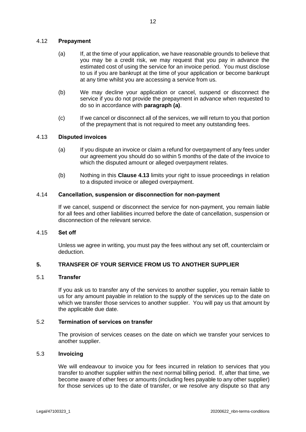## <span id="page-15-2"></span><span id="page-15-0"></span>4.12 **Prepayment**

- (a) If, at the time of your application, we have reasonable grounds to believe that you may be a credit risk, we may request that you pay in advance the estimated cost of using the service for an invoice period. You must disclose to us if you are bankrupt at the time of your application or become bankrupt at any time whilst you are accessing a service from us.
- (b) We may decline your application or cancel, suspend or disconnect the service if you do not provide the prepayment in advance when requested to do so in accordance with **paragraph [\(a\)](#page-15-0)**.
- (c) If we cancel or disconnect all of the services, we will return to you that portion of the prepayment that is not required to meet any outstanding fees.

## <span id="page-15-1"></span>4.13 **Disputed invoices**

- (a) If you dispute an invoice or claim a refund for overpayment of any fees under our agreement you should do so within 5 months of the date of the invoice to which the disputed amount or alleged overpayment relates.
- (b) Nothing in this **Clause [4.13](#page-15-1)** limits your right to issue proceedings in relation to a disputed invoice or alleged overpayment.

#### 4.14 **Cancellation, suspension or disconnection for non-payment**

If we cancel, suspend or disconnect the service for non-payment, you remain liable for all fees and other liabilities incurred before the date of cancellation, suspension or disconnection of the relevant service.

#### 4.15 **Set off**

Unless we agree in writing, you must pay the fees without any set off, counterclaim or deduction.

## **5. TRANSFER OF YOUR SERVICE FROM US TO ANOTHER SUPPLIER**

#### 5.1 **Transfer**

If you ask us to transfer any of the services to another supplier, you remain liable to us for any amount payable in relation to the supply of the services up to the date on which we transfer those services to another supplier. You will pay us that amount by the applicable due date.

#### 5.2 **Termination of services on transfer**

The provision of services ceases on the date on which we transfer your services to another supplier.

## 5.3 **Invoicing**

We will endeavour to invoice you for fees incurred in relation to services that you transfer to another supplier within the next normal billing period. If, after that time, we become aware of other fees or amounts (including fees payable to any other supplier) for those services up to the date of transfer, or we resolve any dispute so that any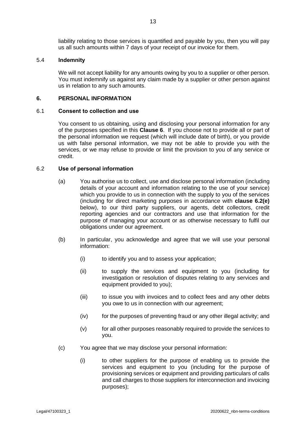liability relating to those services is quantified and payable by you, then you will pay us all such amounts within 7 days of your receipt of our invoice for them.

#### 5.4 **Indemnity**

We will not accept liability for any amounts owing by you to a supplier or other person. You must indemnify us against any claim made by a supplier or other person against us in relation to any such amounts.

#### <span id="page-16-0"></span>**6. PERSONAL INFORMATION**

#### 6.1 **Consent to collection and use**

You consent to us obtaining, using and disclosing your personal information for any of the purposes specified in this **Clause [6](#page-16-0)**. If you choose not to provide all or part of the personal information we request (which will include date of birth), or you provide us with false personal information, we may not be able to provide you with the services, or we may refuse to provide or limit the provision to you of any service or credit.

#### <span id="page-16-1"></span>6.2 **Use of personal information**

- (a) You authorise us to collect, use and disclose personal information (including details of your account and information relating to the use of your service) which you provide to us in connection with the supply to you of the services (including for direct marketing purposes in accordance with **clause [6.2\(e\)](#page-17-0)** below), to our third party suppliers, our agents, debt collectors, credit reporting agencies and our contractors and use that information for the purpose of managing your account or as otherwise necessary to fulfil our obligations under our agreement.
- <span id="page-16-3"></span><span id="page-16-2"></span>(b) In particular, you acknowledge and agree that we will use your personal information:
	- (i) to identify you and to assess your application;
	- (ii) to supply the services and equipment to you (including for investigation or resolution of disputes relating to any services and equipment provided to you);
	- (iii) to issue you with invoices and to collect fees and any other debts you owe to us in connection with our agreement;
	- (iv) for the purposes of preventing fraud or any other illegal activity; and
	- (v) for all other purposes reasonably required to provide the services to you.
- (c) You agree that we may disclose your personal information:
	- (i) to other suppliers for the purpose of enabling us to provide the services and equipment to you (including for the purpose of provisioning services or equipment and providing particulars of calls and call charges to those suppliers for interconnection and invoicing purposes);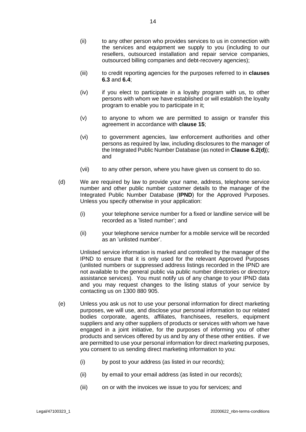- (ii) to any other person who provides services to us in connection with the services and equipment we supply to you (including to our resellers, outsourced installation and repair service companies, outsourced billing companies and debt-recovery agencies);
- (iii) to credit reporting agencies for the purposes referred to in **clauses [6.3](#page-18-0)** and **[6.4](#page-18-1)**;
- (iv) if you elect to participate in a loyalty program with us, to other persons with whom we have established or will establish the loyalty program to enable you to participate in it;
- (v) to anyone to whom we are permitted to assign or transfer this agreement in accordance with **clause [15](#page-34-0)**;
- (vi) to government agencies, law enforcement authorities and other persons as required by law, including disclosures to the manager of the Integrated Public Number Database (as noted in **Clause [6.2\(d\)](#page-17-1)**); and
- (vii) to any other person, where you have given us consent to do so.
- <span id="page-17-1"></span>(d) We are required by law to provide your name, address, telephone service number and other public number customer details to the manager of the Integrated Public Number Database (**IPND**) for the Approved Purposes. Unless you specify otherwise in your application:
	- (i) your telephone service number for a fixed or landline service will be recorded as a 'listed number'; and
	- (ii) your telephone service number for a mobile service will be recorded as an 'unlisted number'.

Unlisted service information is marked and controlled by the manager of the IPND to ensure that it is only used for the relevant Approved Purposes (unlisted numbers or suppressed address listings recorded in the IPND are not available to the general public via public number directories or directory assistance services). You must notify us of any change to your IPND data and you may request changes to the listing status of your service by contacting us on 1300 880 905.

- <span id="page-17-0"></span>(e) Unless you ask us not to use your personal information for direct marketing purposes, we will use, and disclose your personal information to our related bodies corporate, agents, affiliates, franchisees, resellers, equipment suppliers and any other suppliers of products or services with whom we have engaged in a joint initiative, for the purposes of informing you of other products and services offered by us and by any of these other entities. if we are permitted to use your personal information for direct marketing purposes, you consent to us sending direct marketing information to you:
	- (i) by post to your address (as listed in our records);
	- (ii) by email to your email address (as listed in our records);
	- (iii) on or with the invoices we issue to you for services; and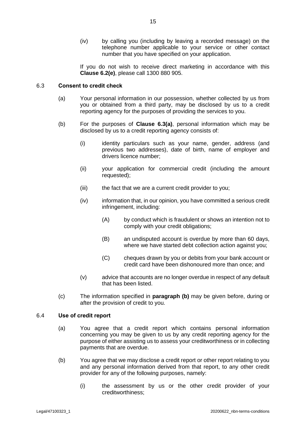(iv) by calling you (including by leaving a recorded message) on the telephone number applicable to your service or other contact number that you have specified on your application.

If you do not wish to receive direct marketing in accordance with this **Clause [6.2](#page-16-1)[\(e\)](#page-17-0)**, please call 1300 880 905.

## <span id="page-18-2"></span><span id="page-18-0"></span>6.3 **Consent to credit check**

- (a) Your personal information in our possession, whether collected by us from you or obtained from a third party, may be disclosed by us to a credit reporting agency for the purposes of providing the services to you.
- (b) For the purposes of **Clause [6.3\(a\)](#page-18-2)**, personal information which may be disclosed by us to a credit reporting agency consists of:
	- (i) identity particulars such as your name, gender, address (and previous two addresses), date of birth, name of employer and drivers licence number;
	- (ii) your application for commercial credit (including the amount requested);
	- (iii) the fact that we are a current credit provider to you;
	- (iv) information that, in our opinion, you have committed a serious credit infringement, including:
		- (A) by conduct which is fraudulent or shows an intention not to comply with your credit obligations;
		- (B) an undisputed account is overdue by more than 60 days, where we have started debt collection action against you;
		- (C) cheques drawn by you or debits from your bank account or credit card have been dishonoured more than once; and
	- (v) advice that accounts are no longer overdue in respect of any default that has been listed.
- (c) The information specified in **paragraph [\(b\)](#page-18-3)** may be given before, during or after the provision of credit to you.

#### <span id="page-18-1"></span>6.4 **Use of credit report**

- (a) You agree that a credit report which contains personal information concerning you may be given to us by any credit reporting agency for the purpose of either assisting us to assess your creditworthiness or in collecting payments that are overdue.
- <span id="page-18-3"></span>(b) You agree that we may disclose a credit report or other report relating to you and any personal information derived from that report, to any other credit provider for any of the following purposes, namely:
	- (i) the assessment by us or the other credit provider of your creditworthiness;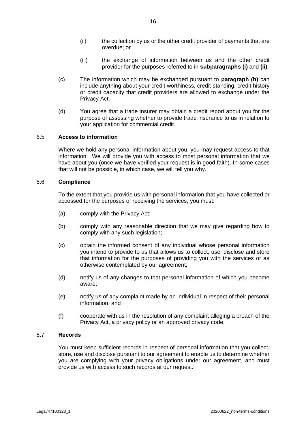- (ii) the collection by us or the other credit provider of payments that are overdue; or
- (iii) the exchange of information between us and the other credit provider for the purposes referred to in **subparagraphs [\(i\)](#page-16-2)** and **[\(ii\)](#page-16-3)**.
- (c) The information which may be exchanged pursuant to **paragraph [\(b\)](#page-18-3)** can include anything about your credit worthiness, credit standing, credit history or credit capacity that credit providers are allowed to exchange under the Privacy Act.
- (d) You agree that a trade insurer may obtain a credit report about you for the purpose of assessing whether to provide trade insurance to us in relation to your application for commercial credit.

## 6.5 **Access to information**

Where we hold any personal information about you, you may request access to that information. We will provide you with access to most personal information that we have about you (once we have verified your request is in good faith). In some cases that will not be possible, in which case, we will tell you why.

#### <span id="page-19-0"></span>6.6 **Compliance**

To the extent that you provide us with personal information that you have collected or accessed for the purposes of receiving the services, you must:

- (a) comply with the Privacy Act;
- (b) comply with any reasonable direction that we may give regarding how to comply with any such legislation;
- (c) obtain the informed consent of any individual whose personal information you intend to provide to us that allows us to collect, use, disclose and store that information for the purposes of providing you with the services or as otherwise contemplated by our agreement;
- (d) notify us of any changes to that personal information of which you become aware;
- (e) notify us of any complaint made by an individual in respect of their personal information; and
- (f) cooperate with us in the resolution of any complaint alleging a breach of the Privacy Act, a privacy policy or an approved privacy code.

## <span id="page-19-1"></span>6.7 **Records**

You must keep sufficient records in respect of personal information that you collect, store, use and disclose pursuant to our agreement to enable us to determine whether you are complying with your privacy obligations under our agreement, and must provide us with access to such records at our request.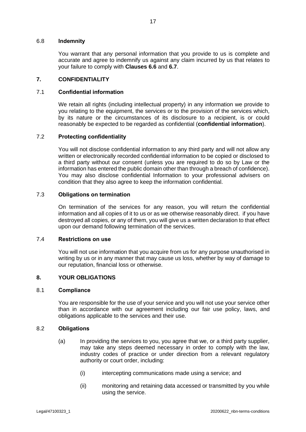#### 6.8 **Indemnity**

You warrant that any personal information that you provide to us is complete and accurate and agree to indemnify us against any claim incurred by us that relates to your failure to comply with **Clauses [6.6](#page-19-0)** and **[6.7](#page-19-1)**.

## **7. CONFIDENTIALITY**

## 7.1 **Confidential information**

We retain all rights (including intellectual property) in any information we provide to you relating to the equipment, the services or to the provision of the services which, by its nature or the circumstances of its disclosure to a recipient, is or could reasonably be expected to be regarded as confidential (**confidential information**).

## 7.2 **Protecting confidentiality**

You will not disclose confidential information to any third party and will not allow any written or electronically recorded confidential information to be copied or disclosed to a third party without our consent (unless you are required to do so by Law or the information has entered the public domain other than through a breach of confidence). You may also disclose confidential Information to your professional advisers on condition that they also agree to keep the information confidential.

#### 7.3 **Obligations on termination**

On termination of the services for any reason, you will return the confidential information and all copies of it to us or as we otherwise reasonably direct. if you have destroyed all copies, or any of them, you will give us a written declaration to that effect upon our demand following termination of the services.

## 7.4 **Restrictions on use**

You will not use information that you acquire from us for any purpose unauthorised in writing by us or in any manner that may cause us loss, whether by way of damage to our reputation, financial loss or otherwise.

#### **8. YOUR OBLIGATIONS**

#### 8.1 **Compliance**

You are responsible for the use of your service and you will not use your service other than in accordance with our agreement including our fair use policy, laws, and obligations applicable to the services and their use.

#### 8.2 **Obligations**

- (a) In providing the services to you, you agree that we, or a third party supplier, may take any steps deemed necessary in order to comply with the law, industry codes of practice or under direction from a relevant regulatory authority or court order, including:
	- (i) intercepting communications made using a service; and
	- (ii) monitoring and retaining data accessed or transmitted by you while using the service.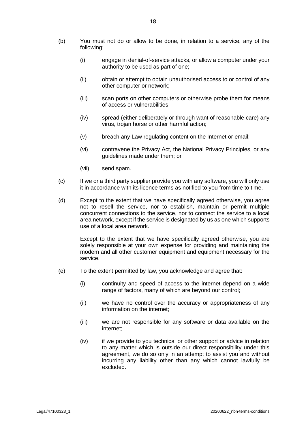- (b) You must not do or allow to be done, in relation to a service, any of the following:
	- (i) engage in denial-of-service attacks, or allow a computer under your authority to be used as part of one;
	- (ii) obtain or attempt to obtain unauthorised access to or control of any other computer or network;
	- (iii) scan ports on other computers or otherwise probe them for means of access or vulnerabilities;
	- (iv) spread (either deliberately or through want of reasonable care) any virus, trojan horse or other harmful action;
	- (v) breach any Law regulating content on the Internet or email;
	- (vi) contravene the Privacy Act, the National Privacy Principles, or any guidelines made under them; or
	- (vii) send spam.
- (c) If we or a third party supplier provide you with any software, you will only use it in accordance with its licence terms as notified to you from time to time.
- (d) Except to the extent that we have specifically agreed otherwise, you agree not to resell the service, nor to establish, maintain or permit multiple concurrent connections to the service, nor to connect the service to a local area network, except if the service is designated by us as one which supports use of a local area network.

Except to the extent that we have specifically agreed otherwise, you are solely responsible at your own expense for providing and maintaining the modem and all other customer equipment and equipment necessary for the service.

- (e) To the extent permitted by law, you acknowledge and agree that:
	- (i) continuity and speed of access to the internet depend on a wide range of factors, many of which are beyond our control;
	- (ii) we have no control over the accuracy or appropriateness of any information on the internet;
	- (iii) we are not responsible for any software or data available on the internet;
	- (iv) if we provide to you technical or other support or advice in relation to any matter which is outside our direct responsibility under this agreement, we do so only in an attempt to assist you and without incurring any liability other than any which cannot lawfully be excluded.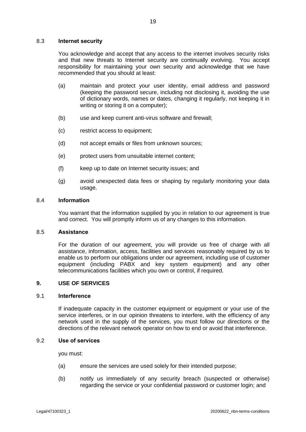## 8.3 **Internet security**

You acknowledge and accept that any access to the internet involves security risks and that new threats to Internet security are continually evolving. You accept responsibility for maintaining your own security and acknowledge that we have recommended that you should at least:

- (a) maintain and protect your user identity, email address and password (keeping the password secure, including not disclosing it, avoiding the use of dictionary words, names or dates, changing it regularly, not keeping it in writing or storing it on a computer);
- (b) use and keep current anti-virus software and firewall;
- (c) restrict access to equipment;
- (d) not accept emails or files from unknown sources;
- (e) protect users from unsuitable internet content;
- (f) keep up to date on Internet security issues; and
- (g) avoid unexpected data fees or shaping by regularly monitoring your data usage.

#### 8.4 **Information**

You warrant that the information supplied by you in relation to our agreement is true and correct. You will promptly inform us of any changes to this information.

#### 8.5 **Assistance**

For the duration of our agreement, you will provide us free of charge with all assistance, information, access, facilities and services reasonably required by us to enable us to perform our obligations under our agreement, including use of customer equipment (including PABX and key system equipment) and any other telecommunications facilities which you own or control, if required.

## **9. USE OF SERVICES**

#### 9.1 **Interference**

If inadequate capacity in the customer equipment or equipment or your use of the service interferes, or in our opinion threatens to interfere, with the efficiency of any network used in the supply of the services, you must follow our directions or the directions of the relevant network operator on how to end or avoid that interference.

#### 9.2 **Use of services**

you must:

- (a) ensure the services are used solely for their intended purpose;
- (b) notify us immediately of any security breach (suspected or otherwise) regarding the service or your confidential password or customer login; and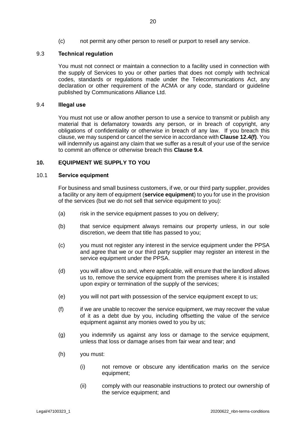(c) not permit any other person to resell or purport to resell any service.

## 9.3 **Technical regulation**

You must not connect or maintain a connection to a facility used in connection with the supply of Services to you or other parties that does not comply with technical codes, standards or regulations made under the Telecommunications Act, any declaration or other requirement of the ACMA or any code, standard or guideline published by Communications Alliance Ltd.

#### <span id="page-23-1"></span>9.4 **Illegal use**

You must not use or allow another person to use a service to transmit or publish any material that is defamatory towards any person, or in breach of copyright, any obligations of confidentiality or otherwise in breach of any law. If you breach this clause, we may suspend or cancel the service in accordance with **Clause [12.4\(f\)](#page-28-0)**. You will indemnify us against any claim that we suffer as a result of your use of the service to commit an offence or otherwise breach this **Clause [9.4](#page-23-1)**.

#### <span id="page-23-0"></span>**10. EQUIPMENT WE SUPPLY TO YOU**

#### 10.1 **Service equipment**

For business and small business customers, if we, or our third party supplier, provides a facility or any item of equipment (**service equipment**) to you for use in the provision of the services (but we do not sell that service equipment to you):

- (a) risk in the service equipment passes to you on delivery;
- (b) that service equipment always remains our property unless, in our sole discretion, we deem that title has passed to you;
- (c) you must not register any interest in the service equipment under the PPSA and agree that we or our third party supplier may register an interest in the service equipment under the PPSA.
- (d) you will allow us to and, where applicable, will ensure that the landlord allows us to, remove the service equipment from the premises where it is installed upon expiry or termination of the supply of the services;
- (e) you will not part with possession of the service equipment except to us;
- (f) if we are unable to recover the service equipment, we may recover the value of it as a debt due by you, including offsetting the value of the service equipment against any monies owed to you by us;
- (g) you indemnify us against any loss or damage to the service equipment, unless that loss or damage arises from fair wear and tear; and
- (h) you must:
	- (i) not remove or obscure any identification marks on the service equipment;
	- (ii) comply with our reasonable instructions to protect our ownership of the service equipment; and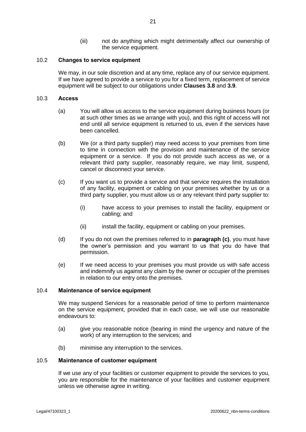(iii) not do anything which might detrimentally affect our ownership of the service equipment.

## 10.2 **Changes to service equipment**

We may, in our sole discretion and at any time, replace any of our service equipment. If we have agreed to provide a service to you for a fixed term, replacement of service equipment will be subject to our obligations under **Clauses [3.8](#page-10-3)** and **[3.9](#page-11-0)**.

## 10.3 **Access**

- (a) You will allow us access to the service equipment during business hours (or at such other times as we arrange with you), and this right of access will not end until all service equipment is returned to us, even if the services have been cancelled.
- (b) We (or a third party supplier) may need access to your premises from time to time in connection with the provision and maintenance of the service equipment or a service. If you do not provide such access as we, or a relevant third party supplier, reasonably require, we may limit, suspend, cancel or disconnect your service.
- (c) If you want us to provide a service and that service requires the installation of any facility, equipment or cabling on your premises whether by us or a third party supplier, you must allow us or any relevant third party supplier to:
	- (i) have access to your premises to install the facility, equipment or cabling; and
	- (ii) install the facility, equipment or cabling on your premises.
- (d) If you do not own the premises referred to in **paragraph (c)**, you must have the owner's permission and you warrant to us that you do have that permission.
- (e) If we need access to your premises you must provide us with safe access and indemnify us against any claim by the owner or occupier of the premises in relation to our entry onto the premises.

## <span id="page-24-0"></span>10.4 **Maintenance of service equipment**

We may suspend Services for a reasonable period of time to perform maintenance on the service equipment, provided that in each case, we will use our reasonable endeavours to:

- (a) give you reasonable notice (bearing in mind the urgency and nature of the work) of any interruption to the services; and
- (b) minimise any interruption to the services.

#### 10.5 **Maintenance of customer equipment**

If we use any of your facilities or customer equipment to provide the services to you, you are responsible for the maintenance of your facilities and customer equipment unless we otherwise agree in writing.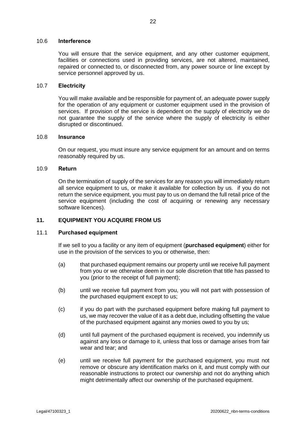#### 10.6 **Interference**

You will ensure that the service equipment, and any other customer equipment, facilities or connections used in providing services, are not altered, maintained, repaired or connected to, or disconnected from, any power source or line except by service personnel approved by us.

#### 10.7 **Electricity**

You will make available and be responsible for payment of, an adequate power supply for the operation of any equipment or customer equipment used in the provision of services. If provision of the service is dependent on the supply of electricity we do not guarantee the supply of the service where the supply of electricity is either disrupted or discontinued.

#### 10.8 **Insurance**

On our request, you must insure any service equipment for an amount and on terms reasonably required by us.

#### 10.9 **Return**

On the termination of supply of the services for any reason you will immediately return all service equipment to us, or make it available for collection by us. if you do not return the service equipment, you must pay to us on demand the full retail price of the service equipment (including the cost of acquiring or renewing any necessary software licences).

## <span id="page-25-0"></span>**11. EQUIPMENT YOU ACQUIRE FROM US**

## 11.1 **Purchased equipment**

If we sell to you a facility or any item of equipment (**purchased equipment**) either for use in the provision of the services to you or otherwise, then:

- (a) that purchased equipment remains our property until we receive full payment from you or we otherwise deem in our sole discretion that title has passed to you (prior to the receipt of full payment);
- (b) until we receive full payment from you, you will not part with possession of the purchased equipment except to us;
- (c) if you do part with the purchased equipment before making full payment to us, we may recover the value of it as a debt due, including offsetting the value of the purchased equipment against any monies owed to you by us;
- (d) until full payment of the purchased equipment is received, you indemnify us against any loss or damage to it, unless that loss or damage arises from fair wear and tear; and
- (e) until we receive full payment for the purchased equipment, you must not remove or obscure any identification marks on it, and must comply with our reasonable instructions to protect our ownership and not do anything which might detrimentally affect our ownership of the purchased equipment.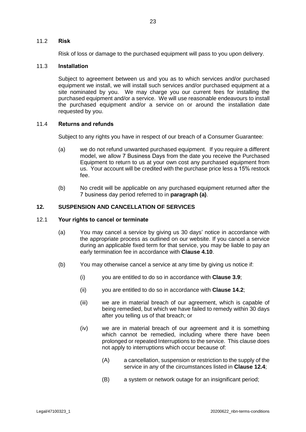#### 11.2 **Risk**

Risk of loss or damage to the purchased equipment will pass to you upon delivery.

## 11.3 **Installation**

Subject to agreement between us and you as to which services and/or purchased equipment we install, we will install such services and/or purchased equipment at a site nominated by you. We may charge you our current fees for installing the purchased equipment and/or a service. We will use reasonable endeavours to install the purchased equipment and/or a service on or around the installation date requested by you.

## 11.4 **Returns and refunds**

Subject to any rights you have in respect of our breach of a Consumer Guarantee:

- <span id="page-26-1"></span>(a) we do not refund unwanted purchased equipment. If you require a different model, we allow 7 Business Days from the date you receive the Purchased Equipment to return to us at your own cost any purchased equipment from us. Your account will be credited with the purchase price less a 15% restock fee.
- (b) No credit will be applicable on any purchased equipment returned after the 7 business day period referred to in **paragraph [\(a\)](#page-26-1)**.

## **12. SUSPENSION AND CANCELLATION OF SERVICES**

#### <span id="page-26-2"></span><span id="page-26-0"></span>12.1 **Your rights to cancel or terminate**

- (a) You may cancel a service by giving us 30 days' notice in accordance with the appropriate process as outlined on our website. If you cancel a service during an applicable fixed term for that service, you may be liable to pay an early termination fee in accordance with **Clause [4.10](#page-14-0)**.
- (b) You may otherwise cancel a service at any time by giving us notice if:
	- (i) you are entitled to do so in accordance with **Clause [3.9](#page-11-0)**;
	- (ii) you are entitled to do so in accordance with **Clause [14.2](#page-33-0)**;
	- (iii) we are in material breach of our agreement, which is capable of being remedied, but which we have failed to remedy within 30 days after you telling us of that breach; or
	- (iv) we are in material breach of our agreement and it is something which cannot be remedied, including where there have been prolonged or repeated Interruptions to the service. This clause does not apply to interruptions which occur because of:
		- (A) a cancellation, suspension or restriction to the supply of the service in any of the circumstances listed in **Clause [12.4](#page-28-1)**;
		- (B) a system or network outage for an insignificant period;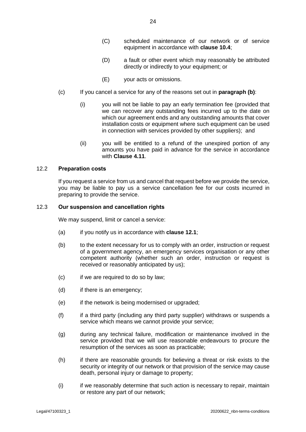- (C) scheduled maintenance of our network or of service equipment in accordance with **clause [10.4](#page-24-0)**;
- (D) a fault or other event which may reasonably be attributed directly or indirectly to your equipment; or
- (E) your acts or omissions.
- (c) If you cancel a service for any of the reasons set out in **paragraph (b)**:
	- (i) you will not be liable to pay an early termination fee (provided that we can recover any outstanding fees incurred up to the date on which our agreement ends and any outstanding amounts that cover installation costs or equipment where such equipment can be used in connection with services provided by other suppliers); and
	- (ii) you will be entitled to a refund of the unexpired portion of any amounts you have paid in advance for the service in accordance with **Clause [4.11](#page-14-1)**.

#### <span id="page-27-0"></span>12.2 **Preparation costs**

If you request a service from us and cancel that request before we provide the service, you may be liable to pay us a service cancellation fee for our costs incurred in preparing to provide the service.

## <span id="page-27-1"></span>12.3 **Our suspension and cancellation rights**

We may suspend, limit or cancel a service:

- (a) if you notify us in accordance with **clause [12.1](#page-26-2)**;
- (b) to the extent necessary for us to comply with an order, instruction or request of a government agency, an emergency services organisation or any other competent authority (whether such an order, instruction or request is received or reasonably anticipated by us);
- (c) if we are required to do so by law;
- (d) if there is an emergency;
- (e) if the network is being modernised or upgraded;
- (f) if a third party (including any third party supplier) withdraws or suspends a service which means we cannot provide your service;
- (g) during any technical failure, modification or maintenance involved in the service provided that we will use reasonable endeavours to procure the resumption of the services as soon as practicable;
- (h) if there are reasonable grounds for believing a threat or risk exists to the security or integrity of our network or that provision of the service may cause death, personal injury or damage to property;
- (i) if we reasonably determine that such action is necessary to repair, maintain or restore any part of our network;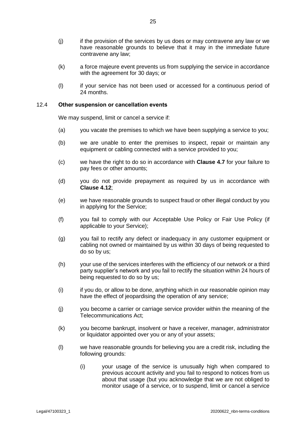- (j) if the provision of the services by us does or may contravene any law or we have reasonable grounds to believe that it may in the immediate future contravene any law;
- (k) a force majeure event prevents us from supplying the service in accordance with the agreement for 30 days; or
- (l) if your service has not been used or accessed for a continuous period of 24 months.

#### <span id="page-28-1"></span>12.4 **Other suspension or cancellation events**

We may suspend, limit or cancel a service if:

- (a) you vacate the premises to which we have been supplying a service to you;
- (b) we are unable to enter the premises to inspect, repair or maintain any equipment or cabling connected with a service provided to you;
- (c) we have the right to do so in accordance with **Clause [4.7](#page-14-2)** for your failure to pay fees or other amounts;
- (d) you do not provide prepayment as required by us in accordance with **Clause [4.12](#page-15-2)**;
- (e) we have reasonable grounds to suspect fraud or other illegal conduct by you in applying for the Service;
- <span id="page-28-0"></span>(f) you fail to comply with our Acceptable Use Policy or Fair Use Policy (if applicable to your Service);
- (g) you fail to rectify any defect or inadequacy in any customer equipment or cabling not owned or maintained by us within 30 days of being requested to do so by us;
- (h) your use of the services interferes with the efficiency of our network or a third party supplier's network and you fail to rectify the situation within 24 hours of being requested to do so by us;
- (i) if you do, or allow to be done, anything which in our reasonable opinion may have the effect of jeopardising the operation of any service;
- (j) you become a carrier or carriage service provider within the meaning of the Telecommunications Act;
- (k) you become bankrupt, insolvent or have a receiver, manager, administrator or liquidator appointed over you or any of your assets;
- (l) we have reasonable grounds for believing you are a credit risk, including the following grounds:
	- (i) your usage of the service is unusually high when compared to previous account activity and you fail to respond to notices from us about that usage (but you acknowledge that we are not obliged to monitor usage of a service, or to suspend, limit or cancel a service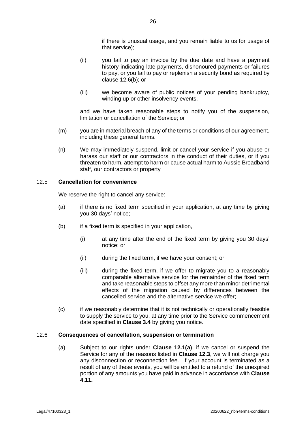if there is unusual usage, and you remain liable to us for usage of that service);

- (ii) you fail to pay an invoice by the due date and have a payment history indicating late payments, dishonoured payments or failures to pay, or you fail to pay or replenish a security bond as required by clause [12.6\(b\);](#page-30-0) or
- (iii) we become aware of public notices of your pending bankruptcy, winding up or other insolvency events,

and we have taken reasonable steps to notify you of the suspension, limitation or cancellation of the Service; or

- (m) you are in material breach of any of the terms or conditions of our agreement, including these general terms.
- (n) We may immediately suspend, limit or cancel your service if you abuse or harass our staff or our contractors in the conduct of their duties, or if you threaten to harm, attempt to harm or cause actual harm to Aussie Broadband staff, our contractors or property

#### <span id="page-29-0"></span>12.5 **Cancellation for convenience**

We reserve the right to cancel any service:

- (a) if there is no fixed term specified in your application, at any time by giving you 30 days' notice;
- (b) if a fixed term is specified in your application,
	- (i) at any time after the end of the fixed term by giving you 30 days' notice; or
	- (ii) during the fixed term, if we have your consent; or
	- (iii) during the fixed term, if we offer to migrate you to a reasonably comparable alternative service for the remainder of the fixed term and take reasonable steps to offset any more than minor detrimental effects of the migration caused by differences between the cancelled service and the alternative service we offer;
- (c) if we reasonably determine that it is not technically or operationally feasible to supply the service to you, at any time prior to the Service commencement date specified in **Clause [3.4](#page-9-0)** by giving you notice.

#### 12.6 **Consequences of cancellation, suspension or termination**

(a) Subject to our rights under **Clause [12.1\(a\)](#page-26-0)**, if we cancel or suspend the Service for any of the reasons listed in **Clause [12.3](#page-27-1)**, we will not charge you any disconnection or reconnection fee. If your account is terminated as a result of any of these events, you will be entitled to a refund of the unexpired portion of any amounts you have paid in advance in accordance with **Clause [4.11.](#page-14-1)**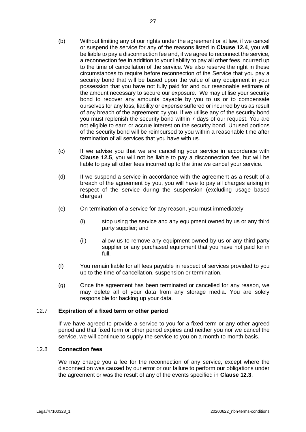- <span id="page-30-0"></span>(b) Without limiting any of our rights under the agreement or at law, if we cancel or suspend the service for any of the reasons listed in **Clause [12.4](#page-28-1)**, you will be liable to pay a disconnection fee and, if we agree to reconnect the service, a reconnection fee in addition to your liability to pay all other fees incurred up to the time of cancellation of the service. We also reserve the right in these circumstances to require before reconnection of the Service that you pay a security bond that will be based upon the value of any equipment in your possession that you have not fully paid for and our reasonable estimate of the amount necessary to secure our exposure. We may utilise your security bond to recover any amounts payable by you to us or to compensate ourselves for any loss, liability or expense suffered or incurred by us as result of any breach of the agreement by you. If we utilise any of the security bond you must replenish the security bond within 7 days of our request. You are not eligible to earn or accrue interest on the security bond. Unused portions of the security bond will be reimbursed to you within a reasonable time after termination of all services that you have with us.
- (c) If we advise you that we are cancelling your service in accordance with **Clause [12.5](#page-29-0)**, you will not be liable to pay a disconnection fee, but will be liable to pay all other fees incurred up to the time we cancel your service.
- (d) If we suspend a service in accordance with the agreement as a result of a breach of the agreement by you, you will have to pay all charges arising in respect of the service during the suspension (excluding usage based charges).
- (e) On termination of a service for any reason, you must immediately:
	- (i) stop using the service and any equipment owned by us or any third party supplier; and
	- (ii) allow us to remove any equipment owned by us or any third party supplier or any purchased equipment that you have not paid for in full.
- (f) You remain liable for all fees payable in respect of services provided to you up to the time of cancellation, suspension or termination.
- (g) Once the agreement has been terminated or cancelled for any reason, we may delete all of your data from any storage media. You are solely responsible for backing up your data.

#### 12.7 **Expiration of a fixed term or other period**

If we have agreed to provide a service to you for a fixed term or any other agreed period and that fixed term or other period expires and neither you nor we cancel the service, we will continue to supply the service to you on a month-to-month basis.

#### 12.8 **Connection fees**

We may charge you a fee for the reconnection of any service, except where the disconnection was caused by our error or our failure to perform our obligations under the agreement or was the result of any of the events specified in **Clause [12.3](#page-27-1)**.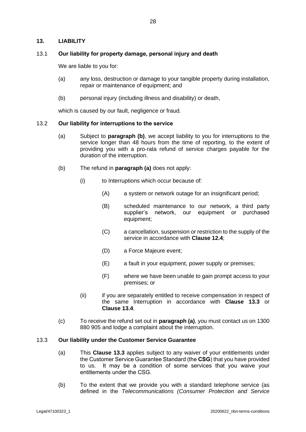## <span id="page-31-1"></span>**13. LIABILITY**

#### 13.1 **Our liability for property damage, personal injury and death**

We are liable to you for:

- (a) any loss, destruction or damage to your tangible property during installation, repair or maintenance of equipment; and
- (b) personal injury (including illness and disability) or death,

which is caused by our fault, negligence or fraud.

#### <span id="page-31-3"></span><span id="page-31-0"></span>13.2 **Our liability for interruptions to the service**

- (a) Subject to **paragraph [\(b\)](#page-31-2)**, we accept liability to you for interruptions to the service longer than 48 hours from the time of reporting, to the extent of providing you with a pro-rata refund of service charges payable for the duration of the interruption.
- <span id="page-31-2"></span>(b) The refund in **paragraph [\(a\)](#page-31-3)** does not apply:
	- (i) to Interruptions which occur because of:
		- (A) a system or network outage for an insignificant period;
		- (B) scheduled maintenance to our network, a third party supplier's network, our equipment or purchased equipment;
		- (C) a cancellation, suspension or restriction to the supply of the service in accordance with **Clause [12.4](#page-28-1)**;
		- (D) a Force Majeure event;
		- (E) a fault in your equipment, power supply or premises;
		- (F) where we have been unable to gain prompt access to your premises; or
	- (ii) if you are separately entitled to receive compensation in respect of the same Interruption in accordance with **Clause [13.3](#page-31-4)** or **Clause [13.4](#page-32-0)**.
- (c) To receive the refund set out in **paragrap[h \(a\)](#page-31-3)**, you must contact us on 1300 880 905 and lodge a complaint about the interruption.

#### <span id="page-31-4"></span>13.3 **Our liability under the Customer Service Guarantee**

- (a) This **Clause [13.3](#page-31-4)** applies subject to any waiver of your entitlements under the Customer Service Guarantee Standard (the **CSG**) that you have provided to us. It may be a condition of some services that you waive your entitlements under the CSG.
- (b) To the extent that we provide you with a standard telephone service (as defined in the *Telecommunications (Consumer Protection and Service*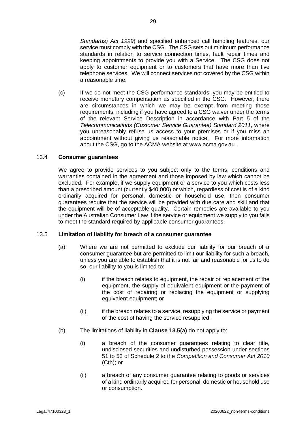*Standards) Act 1999*) and specified enhanced call handling features, our service must comply with the CSG. The CSG sets out minimum performance standards in relation to service connection times, fault repair times and keeping appointments to provide you with a Service. The CSG does not apply to customer equipment or to customers that have more than five telephone services. We will connect services not covered by the CSG within a reasonable time.

(c) If we do not meet the CSG performance standards, you may be entitled to receive monetary compensation as specified in the CSG. However, there are circumstances in which we may be exempt from meeting those requirements, including if you have agreed to a CSG waiver under the terms of the relevant Service Description in accordance with Part 5 of the *Telecommunications (Customer Service Guarantee) Standard 2011*, where you unreasonably refuse us access to your premises or if you miss an appointment without giving us reasonable notice. For more information about the CSG, go to the ACMA website at www.acma.gov.au.

#### <span id="page-32-0"></span>13.4 **Consumer guarantees**

We agree to provide services to you subject only to the terms, conditions and warranties contained in the agreement and those imposed by law which cannot be excluded. For example, if we supply equipment or a service to you which costs less than a prescribed amount (currently \$40,000) or which, regardless of cost is of a kind ordinarily acquired for personal, domestic or household use, then consumer guarantees require that the service will be provided with due care and skill and that the equipment will be of acceptable quality. Certain remedies are available to you under the Australian Consumer Law if the service or equipment we supply to you fails to meet the standard required by applicable consumer guarantees.

#### <span id="page-32-1"></span>13.5 **Limitation of liability for breach of a consumer guarantee**

- (a) Where we are not permitted to exclude our liability for our breach of a consumer guarantee but are permitted to limit our liability for such a breach, unless you are able to establish that it is not fair and reasonable for us to do so, our liability to you is limited to:
	- (i) if the breach relates to equipment, the repair or replacement of the equipment, the supply of equivalent equipment or the payment of the cost of repairing or replacing the equipment or supplying equivalent equipment; or
	- (ii) if the breach relates to a service, resupplying the service or payment of the cost of having the service resupplied.
- (b) The limitations of liability in **Clause [13.5\(a\)](#page-32-1)** do not apply to:
	- (i) a breach of the consumer guarantees relating to clear title, undisclosed securities and undisturbed possession under sections 51 to 53 of Schedule 2 to the *Competition and Consumer Act 2010* (Cth); or
	- (ii) a breach of any consumer guarantee relating to goods or services of a kind ordinarily acquired for personal, domestic or household use or consumption.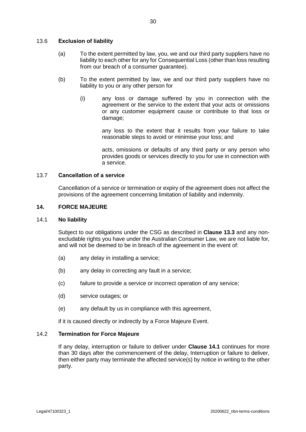## 13.6 **Exclusion of liability**

- (a) To the extent permitted by law, you, we and our third party suppliers have no liability to each other for any for Consequential Loss (other than loss resulting from our breach of a consumer guarantee).
- (b) To the extent permitted by law, we and our third party suppliers have no liability to you or any other person for
	- (i) any loss or damage suffered by you in connection with the agreement or the service to the extent that your acts or omissions or any customer equipment cause or contribute to that loss or damage;

any loss to the extent that it results from your failure to take reasonable steps to avoid or minimise your loss; and

acts, omissions or defaults of any third party or any person who provides goods or services directly to you for use in connection with a service.

## 13.7 **Cancellation of a service**

Cancellation of a service or termination or expiry of the agreement does not affect the provisions of the agreement concerning limitation of liability and indemnity.

#### **14. FORCE MAJEURE**

#### <span id="page-33-1"></span>14.1 **No liability**

Subject to our obligations under the CSG as described in **Clause [13.3](#page-31-4)** and any nonexcludable rights you have under the Australian Consumer Law, we are not liable for, and will not be deemed to be in breach of the agreement in the event of:

- (a) any delay in installing a service;
- (b) any delay in correcting any fault in a service;
- (c) failure to provide a service or incorrect operation of any service;
- (d) service outages; or
- (e) any default by us in compliance with this agreement,

if it is caused directly or indirectly by a Force Majeure Event.

## <span id="page-33-0"></span>14.2 **Termination for Force Majeure**

If any delay, interruption or failure to deliver under **Clause [14.1](#page-33-1)** continues for more than 30 days after the commencement of the delay, Interruption or failure to deliver, then either party may terminate the affected service(s) by notice in writing to the other party.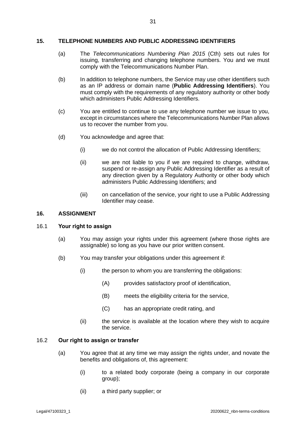## <span id="page-34-0"></span>**15. TELEPHONE NUMBERS AND PUBLIC ADDRESSING IDENTIFIERS**

- (a) The *Telecommunications Numbering Plan 2015* (Cth) sets out rules for issuing, transferring and changing telephone numbers. You and we must comply with the Telecommunications Number Plan.
- (b) In addition to telephone numbers, the Service may use other identifiers such as an IP address or domain name (**Public Addressing Identifiers**). You must comply with the requirements of any regulatory authority or other body which administers Public Addressing Identifiers.
- (c) You are entitled to continue to use any telephone number we issue to you, except in circumstances where the Telecommunications Number Plan allows us to recover the number from you.
- (d) You acknowledge and agree that:
	- (i) we do not control the allocation of Public Addressing Identifiers;
	- (ii) we are not liable to you if we are required to change, withdraw, suspend or re-assign any Public Addressing Identifier as a result of any direction given by a Regulatory Authority or other body which administers Public Addressing Identifiers; and
	- (iii) on cancellation of the service, your right to use a Public Addressing Identifier may cease.

#### **16. ASSIGNMENT**

#### 16.1 **Your right to assign**

- (a) You may assign your rights under this agreement (where those rights are assignable) so long as you have our prior written consent.
- (b) You may transfer your obligations under this agreement if:
	- (i) the person to whom you are transferring the obligations:
		- (A) provides satisfactory proof of identification,
		- (B) meets the eligibility criteria for the service,
		- (C) has an appropriate credit rating, and
	- (ii) the service is available at the location where they wish to acquire the service.

#### <span id="page-34-2"></span><span id="page-34-1"></span>16.2 **Our right to assign or transfer**

- (a) You agree that at any time we may assign the rights under, and novate the benefits and obligations of, this agreement:
	- (i) to a related body corporate (being a company in our corporate group);
	- (ii) a third party supplier; or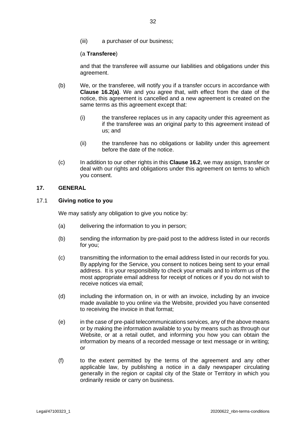(iii) a purchaser of our business;

(a **Transferee**)

and that the transferee will assume our liabilities and obligations under this agreement.

- (b) We, or the transferee, will notify you if a transfer occurs in accordance with **Clause [16.2](#page-34-1)[\(a\)](#page-34-2)**. We and you agree that, with effect from the date of the notice, this agreement is cancelled and a new agreement is created on the same terms as this agreement except that:
	- (i) the transferee replaces us in any capacity under this agreement as if the transferee was an original party to this agreement instead of us; and
	- (ii) the transferee has no obligations or liability under this agreement before the date of the notice.
- (c) In addition to our other rights in this **Claus[e 16.2](#page-34-1)**, we may assign, transfer or deal with our rights and obligations under this agreement on terms to which you consent.

## **17. GENERAL**

## <span id="page-35-0"></span>17.1 **Giving notice to you**

We may satisfy any obligation to give you notice by:

- (a) delivering the information to you in person;
- (b) sending the information by pre-paid post to the address listed in our records for you;
- (c) transmitting the information to the email address listed in our records for you. By applying for the Service, you consent to notices being sent to your email address. It is your responsibility to check your emails and to inform us of the most appropriate email address for receipt of notices or if you do not wish to receive notices via email;
- (d) including the information on, in or with an invoice, including by an invoice made available to you online via the Website, provided you have consented to receiving the invoice in that format;
- (e) in the case of pre-paid telecommunications services, any of the above means or by making the information available to you by means such as through our Website, or at a retail outlet, and informing you how you can obtain the information by means of a recorded message or text message or in writing; or
- (f) to the extent permitted by the terms of the agreement and any other applicable law, by publishing a notice in a daily newspaper circulating generally in the region or capital city of the State or Territory in which you ordinarily reside or carry on business.